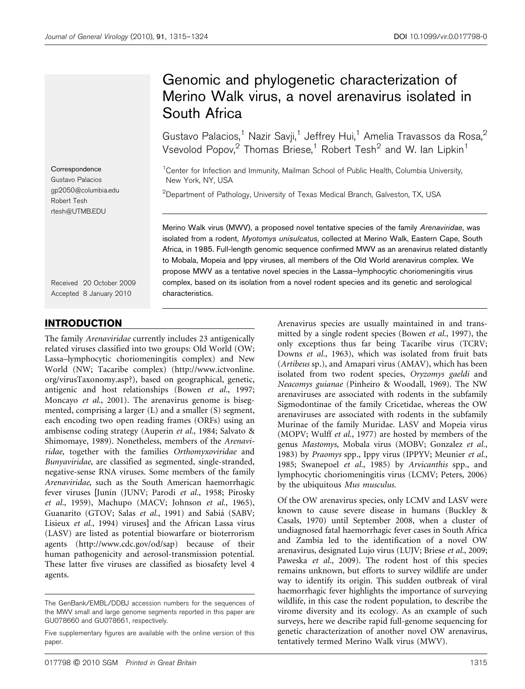**Correspondence** Gustavo Palacios gp2050@columbia.edu Robert Tesh rtesh@UTMB.EDU

Received 20 October 2009 Accepted 8 January 2010

# INTRODUCTION

The family Arenaviridae currently includes 23 antigenically related viruses classified into two groups: Old World (OW; Lassa–lymphocytic choriomeningitis complex) and New World (NW; Tacaribe complex) (http://www.ictvonline. org/virusTaxonomy.asp?), based on geographical, genetic, antigenic and host relationships (Bowen et al., 1997; Moncayo et al., 2001). The arenavirus genome is bisegmented, comprising a larger (L) and a smaller (S) segment, each encoding two open reading frames (ORFs) using an ambisense coding strategy (Auperin et al., 1984; Salvato & Shimomaye, 1989). Nonetheless, members of the Arenaviridae, together with the families Orthomyxoviridae and Bunyaviridae, are classified as segmented, single-stranded, negative-sense RNA viruses. Some members of the family Arenaviridae, such as the South American haemorrhagic fever viruses [Junín (JUNV; Parodi et al., 1958; Pirosky et al., 1959), Machupo (MACV; Johnson et al., 1965), Guanarito (GTOV; Salas et al., 1991) and Sabiá (SABV; Lisieux et al., 1994) viruses] and the African Lassa virus (LASV) are listed as potential biowarfare or bioterrorism agents (http://www.cdc.gov/od/sap) because of their human pathogenicity and aerosol-transmission potential. These latter five viruses are classified as biosafety level 4 agents.

# Genomic and phylogenetic characterization of Merino Walk virus, a novel arenavirus isolated in South Africa

Gustavo Palacios,<sup>1</sup> Nazir Savji,<sup>1</sup> Jeffrey Hui,<sup>1</sup> Amelia Travassos da Rosa,<sup>2</sup> Vsevolod Popov,<sup>2</sup> Thomas Briese,<sup>1</sup> Robert Tesh<sup>2</sup> and W. Ian Lipkin<sup>1</sup>

<sup>1</sup> Center for Infection and Immunity, Mailman School of Public Health, Columbia University, New York, NY, USA

 $^{2}$ Department of Pathology, University of Texas Medical Branch, Galveston, TX, USA

Merino Walk virus (MWV), a proposed novel tentative species of the family Arenaviridae, was isolated from a rodent, Myotomys unisulcatus, collected at Merino Walk, Eastern Cape, South Africa, in 1985. Full-length genomic sequence confirmed MWV as an arenavirus related distantly to Mobala, Mopeia and Ippy viruses, all members of the Old World arenavirus complex. We propose MWV as a tentative novel species in the Lassa–lymphocytic choriomeningitis virus complex, based on its isolation from a novel rodent species and its genetic and serological characteristics.

> Arenavirus species are usually maintained in and transmitted by a single rodent species (Bowen et al., 1997), the only exceptions thus far being Tacaribe virus (TCRV; Downs et al., 1963), which was isolated from fruit bats (Artibeus sp.), and Amapari virus (AMAV), which has been isolated from two rodent species, Oryzomys gaeldi and Neacomys guianae (Pinheiro & Woodall, 1969). The NW arenaviruses are associated with rodents in the subfamily Sigmodontinae of the family Cricetidae, whereas the OW arenaviruses are associated with rodents in the subfamily Murinae of the family Muridae. LASV and Mopeia virus (MOPV; Wulff et al., 1977) are hosted by members of the genus Mastomys, Mobala virus (MOBV; Gonzalez et al., 1983) by Praomys spp., Ippy virus (IPPYV; Meunier et al., 1985; Swanepoel et al., 1985) by Arvicanthis spp., and lymphocytic choriomeningitis virus (LCMV; Peters, 2006) by the ubiquitous Mus musculus.

> Of the OW arenavirus species, only LCMV and LASV were known to cause severe disease in humans (Buckley & Casals, 1970) until September 2008, when a cluster of undiagnosed fatal haemorrhagic fever cases in South Africa and Zambia led to the identification of a novel OW arenavirus, designated Lujo virus (LUJV; Briese et al., 2009; Paweska et al., 2009). The rodent host of this species remains unknown, but efforts to survey wildlife are under way to identify its origin. This sudden outbreak of viral haemorrhagic fever highlights the importance of surveying wildlife, in this case the rodent population, to describe the virome diversity and its ecology. As an example of such surveys, here we describe rapid full-genome sequencing for genetic characterization of another novel OW arenavirus, tentatively termed Merino Walk virus (MWV).

The GenBank/EMBL/DDBJ accession numbers for the sequences of the MWV small and large genome segments reported in this paper are GU078660 and GU078661, respectively.

Five supplementary figures are available with the online version of this paper.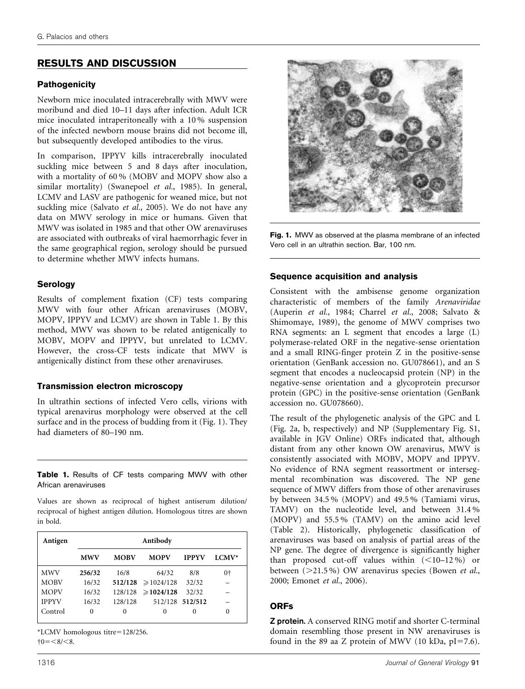# RESULTS AND DISCUSSION

# **Pathogenicity**

Newborn mice inoculated intracerebrally with MWV were moribund and died 10–11 days after infection. Adult ICR mice inoculated intraperitoneally with a 10 % suspension of the infected newborn mouse brains did not become ill, but subsequently developed antibodies to the virus.

In comparison, IPPYV kills intracerebrally inoculated suckling mice between 5 and 8 days after inoculation, with a mortality of 60 % (MOBV and MOPV show also a similar mortality) (Swanepoel et al., 1985). In general, LCMV and LASV are pathogenic for weaned mice, but not suckling mice (Salvato et al., 2005). We do not have any data on MWV serology in mice or humans. Given that MWV was isolated in 1985 and that other OW arenaviruses are associated with outbreaks of viral haemorrhagic fever in the same geographical region, serology should be pursued to determine whether MWV infects humans.

# **Serology**

Results of complement fixation (CF) tests comparing MWV with four other African arenaviruses (MOBV, MOPV, IPPYV and LCMV) are shown in Table 1. By this method, MWV was shown to be related antigenically to MOBV, MOPV and IPPYV, but unrelated to LCMV. However, the cross-CF tests indicate that MWV is antigenically distinct from these other arenaviruses.

### Transmission electron microscopy

In ultrathin sections of infected Vero cells, virions with typical arenavirus morphology were observed at the cell surface and in the process of budding from it (Fig. 1). They had diameters of 80–190 nm.

Table 1. Results of CF tests comparing MWV with other African arenaviruses

Values are shown as reciprocal of highest antiserum dilution/ reciprocal of highest antigen dilution. Homologous titres are shown in bold.

| Antigen      | Antibody   |             |                        |                 |         |  |  |  |  |  |  |  |  |  |  |
|--------------|------------|-------------|------------------------|-----------------|---------|--|--|--|--|--|--|--|--|--|--|
|              | <b>MWV</b> | <b>MOBV</b> | <b>MOPV</b>            | <b>IPPYV</b>    | $LCMV*$ |  |  |  |  |  |  |  |  |  |  |
| <b>MWV</b>   | 256/32     | 16/8        | 64/32                  | 8/8             | $0+$    |  |  |  |  |  |  |  |  |  |  |
| <b>MOBV</b>  | 16/32      |             | $512/128 \ge 1024/128$ | 32/32           |         |  |  |  |  |  |  |  |  |  |  |
| <b>MOPV</b>  | 16/32      | 128/128     | $\geqslant$ 1024/128   | 32/32           |         |  |  |  |  |  |  |  |  |  |  |
| <b>IPPYV</b> | 16/32      | 128/128     |                        | 512/128 512/512 |         |  |  |  |  |  |  |  |  |  |  |
| Control      | 0          | 0           | 0                      | $\theta$        | 0       |  |  |  |  |  |  |  |  |  |  |

 $*LCMV$  homologous titre=128/256.  $\dagger 0 = <8/<8.$ 



Fig. 1. MWV as observed at the plasma membrane of an infected Vero cell in an ultrathin section. Bar, 100 nm.

# Sequence acquisition and analysis

Consistent with the ambisense genome organization characteristic of members of the family Arenaviridae (Auperin et al., 1984; Charrel et al., 2008; Salvato & Shimomaye, 1989), the genome of MWV comprises two RNA segments: an L segment that encodes a large (L) polymerase-related ORF in the negative-sense orientation and a small RING-finger protein Z in the positive-sense orientation (GenBank accession no. GU078661), and an S segment that encodes a nucleocapsid protein (NP) in the negative-sense orientation and a glycoprotein precursor protein (GPC) in the positive-sense orientation (GenBank accession no. GU078660).

The result of the phylogenetic analysis of the GPC and L (Fig. 2a, b, respectively) and NP (Supplementary Fig. S1, available in JGV Online) ORFs indicated that, although distant from any other known OW arenavirus, MWV is consistently associated with MOBV, MOPV and IPPYV. No evidence of RNA segment reassortment or intersegmental recombination was discovered. The NP gene sequence of MWV differs from those of other arenaviruses by between 34.5 % (MOPV) and 49.5 % (Tamiami virus, TAMV) on the nucleotide level, and between 31.4 % (MOPV) and 55.5 % (TAMV) on the amino acid level (Table 2). Historically, phylogenetic classification of arenaviruses was based on analysis of partial areas of the NP gene. The degree of divergence is significantly higher than proposed cut-off values within  $(<10-12\%)$  or between  $(>21.5\%)$  OW arenavirus species (Bowen et al., 2000; Emonet et al., 2006).

# **ORFs**

Z protein. A conserved RING motif and shorter C-terminal domain resembling those present in NW arenaviruses is found in the 89 aa Z protein of MWV (10 kDa,  $pI=7.6$ ).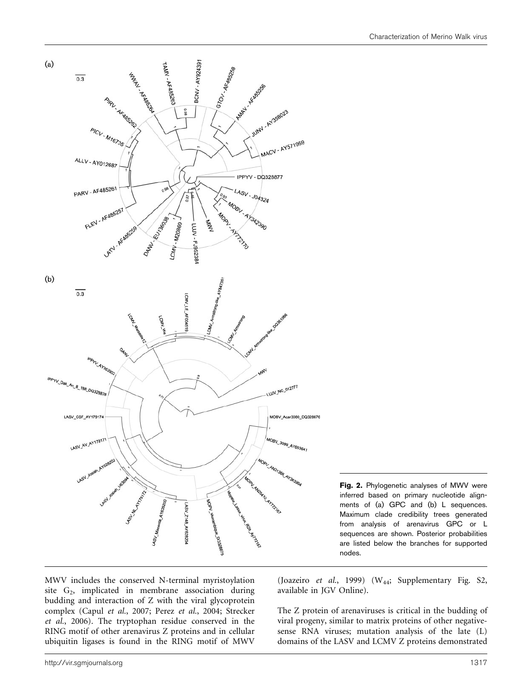



MWV includes the conserved N-terminal myristoylation site G<sub>2</sub>, implicated in membrane association during budding and interaction of Z with the viral glycoprotein complex (Capul et al., 2007; Perez et al., 2004; Strecker et al., 2006). The tryptophan residue conserved in the RING motif of other arenavirus Z proteins and in cellular ubiquitin ligases is found in the RING motif of MWV

(Joazeiro et al., 1999) (W44; Supplementary Fig. S2, available in JGV Online).

The Z protein of arenaviruses is critical in the budding of viral progeny, similar to matrix proteins of other negativesense RNA viruses; mutation analysis of the late (L) domains of the LASV and LCMV Z proteins demonstrated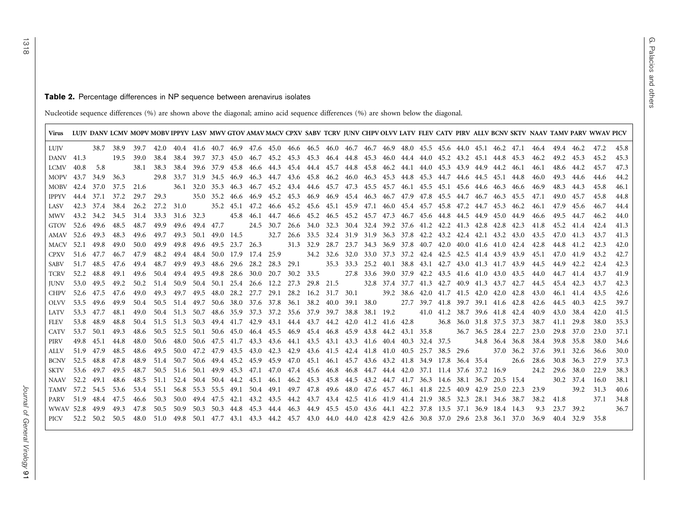#### **Table 2.** Percentage differences in NP sequence between arenavirus isolates

Nucleotide sequence differences (%) are shown above the diagonal; amino acid sequence differences (%) are shown below the diagonal.

| Virus LUJV DANV LCMV MOPV MOBV IPPYV LASV MWV GTOV AMAV MACV CPXV SABV TCRV JUNV CHPV OLVV LATV FLEV CATV PIRV ALLV BCNV SKTV NAAV TAMV PARV WWAV PICV |           |                |      |           |      |                                                                                                     |                     |           |  |                               |                                                                                                |                                                        |  |                          |                     |      |      |                     |                |      |      |
|--------------------------------------------------------------------------------------------------------------------------------------------------------|-----------|----------------|------|-----------|------|-----------------------------------------------------------------------------------------------------|---------------------|-----------|--|-------------------------------|------------------------------------------------------------------------------------------------|--------------------------------------------------------|--|--------------------------|---------------------|------|------|---------------------|----------------|------|------|
| LUJV                                                                                                                                                   |           | 38.7 38.9      |      | 39.7      |      | 42.0 40.4 41.6 40.7 46.9 47.6 45.0 46.6 46.5 46.0 46.7 46.7 46.9 48.0 45.5 45.6 44.0 45.1 46.2 47.1 |                     |           |  |                               |                                                                                                |                                                        |  |                          |                     |      |      | 46.4 49.4 46.2 47.2 |                |      | 45.8 |
| DANV 41.3                                                                                                                                              |           |                | 19.5 | 39.0      |      | 38.4 38.4 39.7 37.3 45.0 46.7 45.2 45.3 45.3 46.4 44.8 45.3 46.0 44.4 44.0 45.2 43.2 45.1 44.8 45.3 |                     |           |  |                               |                                                                                                |                                                        |  |                          |                     |      | 46.2 | 49.2 45.3           |                | 45.2 | 45.3 |
| LCMV                                                                                                                                                   | 40.8      | 5.8            |      | 38.1      | 38.3 | 38.4                                                                                                |                     |           |  |                               | 39.6 37.9 45.8 46.6 44.3 45.4 44.4 45.7 44.8 45.8 46.2 44.1 44.0 45.3 43.9 44.9 44.2 46.1      |                                                        |  |                          |                     |      | 46.1 |                     | 48.6 44.2      | 45.7 | 47.3 |
| MOPV 43.7                                                                                                                                              |           | 34.9 36.3      |      |           |      | 29.8 33.7                                                                                           |                     |           |  |                               | 31.9 34.5 46.9 46.3 44.7 43.6 45.8 46.2 46.0 46.3 45.3 44.8 45.3 44.7 44.6 44.5 45.1 44.8      |                                                        |  |                          |                     |      | 46.0 | 49.3                | -44.6          | 44.6 | 44.2 |
| MOBV 42.4 37.0                                                                                                                                         |           |                |      | 37.5 21.6 |      |                                                                                                     |                     |           |  |                               | 36.1 32.0 35.3 46.3 46.7 45.2 43.4 44.6 45.7 47.3 45.5 45.7 46.1 45.5 45.1 45.6 44.6 46.3 46.6 |                                                        |  |                          |                     |      | 46.9 | 48.3                | 44.3           | 45.8 | 46.1 |
| IPPYV                                                                                                                                                  | 44.4 37.1 |                | 37.2 | 29.7      | 29.3 |                                                                                                     |                     |           |  |                               | 35.0 35.2 46.6 46.9 45.2 45.3 46.9 46.9 45.4 46.3 46.7 47.9 47.8 45.5 44.7 46.7 46.3 45.5      |                                                        |  |                          |                     |      | 47.1 | 49.0                | 45.7           | 45.8 | 44.8 |
| LASV                                                                                                                                                   |           | 42.3 37.4 38.4 |      | 26.2      |      | 27.2 31.0 35.2 45.1 47.2 46.6 45.2 45.6 45.1 45.9 47.1 46.0 45.4 45.7 45.8 47.2 44.7 45.3 46.2      |                     |           |  |                               |                                                                                                |                                                        |  |                          |                     |      | 46.1 | 47.9                | 45.6           | 46.7 | 44.4 |
| MWV                                                                                                                                                    | 43.2 34.2 |                | 34.5 | 31.4      |      | 33.3 31.6 32.3                                                                                      |                     |           |  |                               | 45.8 46.1 44.7 46.6 45.2 46.5 45.2 45.7 47.3 46.7 45.6 44.8 44.5 44.9 45.0 44.9                |                                                        |  |                          |                     |      | 46.6 | 49.5                | 44.7           | 46.2 | 44.0 |
| GTOV                                                                                                                                                   |           | 52.6 49.6 48.5 |      | 48.7      | 49.9 | 49.6                                                                                                | 49.4 47.7           | 24.5 30.7 |  |                               | 26.6 34.0 32.3 30.4 32.4 39.2 37.6 41.2 42.2 41.3 42.8 42.8 42.3                               |                                                        |  |                          |                     |      | 41.8 | 45.2                | 41.4           | 42.4 | 41.3 |
| AMAV 52.6 49.3                                                                                                                                         |           |                | 48.3 | 49.6      | 49.7 | 49.3                                                                                                | 50.1 49.0 14.5      |           |  |                               | 32.7 26.6 33.5 32.4 31.9 31.9 36.3 37.8 42.2 43.2 42.4 42.1 43.2 43.0                          |                                                        |  |                          |                     |      | 43.5 | 47.0 41.3           |                | 43.7 | 41.3 |
| MACV 52.1 49.8                                                                                                                                         |           |                | 49.0 | 50.0      | 49.9 | 49.8                                                                                                |                     |           |  | 49.6 49.5 23.7 26.3 31.3 32.9 |                                                                                                | 28.7 23.7 34.3 36.9 37.8 40.7 42.0 40.0 41.6 41.0 42.4 |  |                          |                     |      | 42.8 | 44.8                | 41.2           | 42.3 | 42.0 |
| CPXV                                                                                                                                                   | 51.6 47.7 |                | 46.7 | 47.9      | 48.2 | 49.4                                                                                                |                     |           |  |                               | 48.4 50.0 17.9 17.4 25.9 34.2 32.6 32.0 33.0 37.3 37.2 42.4 42.5 42.5 41.4 43.9 43.9           |                                                        |  |                          |                     |      | 45.1 | 47.0                | 41.9           | 43.2 | 42.7 |
| SABV                                                                                                                                                   | 51.7 48.5 |                | 47.6 | 49.4      | 48.7 | 49.9 49.3 48.6 29.6 28.2 28.3 29.1                                                                  |                     |           |  |                               |                                                                                                | 35.3 33.3 25.2 40.1 38.8 43.1 42.7 43.0 41.3 41.7 43.9 |  |                          |                     |      | 44.5 | 44.9                | 42.2           | 42.4 | 42.3 |
| TCRV                                                                                                                                                   | 52.2 48.8 |                | 49.1 | 49.6      | 50.4 | 49.4 49.5 49.8 28.6 30.0 20.7                                                                       |                     |           |  | 30.2 33.5                     |                                                                                                | 27.8 33.6 39.0 37.9 42.2 43.5 41.6 41.0 43.0 43.5      |  |                          |                     |      | 44.0 |                     | 44.7 41.4      | 43.7 | 41.9 |
| <b>IUNV</b>                                                                                                                                            | 53.0 49.5 |                | 49.2 | 50.2      |      | 51.4 50.9 50.4 50.1 25.4 26.6 12.2 27.3 29.8 21.5 32.8 37.4 37.7 41.3 42.7 40.9 41.3 43.7 42.7      |                     |           |  |                               |                                                                                                |                                                        |  |                          |                     |      | 44.5 | 45.4 42.3           |                | 43.7 | 42.3 |
| CHPV                                                                                                                                                   | 52.6      | 47.5           | 47.6 | 49.0      | 49.3 | 49.7                                                                                                | 49.5 48.0 28.2 27.7 |           |  |                               | 29.1 28.2 16.2 31.7 30.1 39.2 38.6 42.0 41.7 41.5 42.0 42.0 42.8                               |                                                        |  |                          |                     |      | 43.0 | 46.1                | 41.4           | 43.5 | 42.6 |
| <b>OLVV</b>                                                                                                                                            |           | 53.5 49.6      | 49.9 | 50.4      |      | 50.5 51.4 49.7 50.6 38.0 37.6 37.8 36.1 38.2 40.0 39.1 38.0 27.7 39.7 41.8 39.7 39.1 41.6 42.8      |                     |           |  |                               |                                                                                                |                                                        |  |                          |                     |      | 42.6 | 44.5                | 40.3           | 42.5 | 39.7 |
| <b>LATV</b>                                                                                                                                            | 53.3 47.7 |                | 48.1 | 49.0      |      | 50.4 51.3 50.7 48.6 35.9 37.3 37.2 35.6 37.9 39.7 38.8 38.1 19.2 41.0 41.2 38.7 39.6 41.8 42.4      |                     |           |  |                               |                                                                                                |                                                        |  |                          |                     |      | 40.9 | 43.0                | 38.4           | 42.0 | 41.5 |
| <b>FLEV</b>                                                                                                                                            | 53.8 48.9 |                | 48.8 | 50.4      | 51.5 | 51.3 50.3 49.4 41.7 42.9 43.1 44.4 43.7 44.2 42.0 41.2 41.6 42.8                                    |                     |           |  |                               |                                                                                                |                                                        |  | 36.8 36.0 31.8 37.5 37.3 |                     |      | 38.7 | 41.1                | 29.8           | 38.0 | 35.3 |
| <b>CATV</b>                                                                                                                                            | 53.7 50.1 |                | 49.3 | 48.6      |      | 50.5 52.5                                                                                           |                     |           |  |                               | 50.1 50.6 45.0 46.4 45.5 46.9 45.4 46.8 45.9 43.8 44.2 43.1 35.8                               |                                                        |  |                          | 36.7 36.5 28.4 22.7 |      | 23.0 | 29.8                | 37.0           | 23.0 | 37.1 |
| PIRV                                                                                                                                                   | 49.8      | 45.1           | 44.8 | 48.0      | 50.6 | 48.0                                                                                                |                     |           |  |                               | 50.6 47.5 41.7 43.3 43.6 44.1 43.5 43.1 43.3 41.6 40.4 40.3 32.4 37.5 34.8 36.4 36.8           |                                                        |  |                          |                     |      | 38.4 | 39.8                | 35.8           | 38.0 | 34.6 |
| ALLV                                                                                                                                                   | 51.9 47.9 |                | 48.5 | 48.6      |      | 49.5 50.0 47.2 47.9 43.5 43.0 42.3 42.9 43.6 41.5 42.4 41.8 41.0 40.5 25.7 38.5 29.6 37.0 36.2      |                     |           |  |                               |                                                                                                |                                                        |  |                          |                     |      | 37.6 | 39.1 32.6           |                | 36.6 | 30.0 |
| BCNV                                                                                                                                                   | 52.5 48.8 |                | 47.8 | 48.9      |      | 51.4 50.7 50.6 49.4 45.2 45.9 45.9 47.0 45.1 46.1 45.7 43.6 43.2 41.8 34.9 17.8 36.4 35.4           |                     |           |  |                               |                                                                                                |                                                        |  |                          |                     | 26.6 | 28.6 | 30.8                | 36.3           | 27.9 | 37.3 |
| SKTV                                                                                                                                                   |           | 53.6 49.7      | 49.5 | 48.7      | 50.5 | 51.6 50.1 49.9 45.3 47.1 47.0 47.4 45.6 46.8 46.8 44.7 44.4 42.0 37.1 11.4 37.6 37.2 16.9           |                     |           |  |                               |                                                                                                |                                                        |  |                          |                     |      | 24.2 | 29.6                | 38.0           | 22.9 | 38.3 |
| NAAV                                                                                                                                                   | 52.2 49.1 |                | 48.6 | 48.5      |      | 51.1 52.4 50.4 50.4 44.2 45.1 46.1 46.2 45.3 45.8 44.5 43.2 44.7 41.7 36.3 14.6 38.1 36.7 20.5 15.4 |                     |           |  |                               |                                                                                                |                                                        |  |                          |                     |      |      |                     | 30.2 37.4      | 16.0 | 38.1 |
| TAMV 57.2 54.5                                                                                                                                         |           |                | 53.6 | 53.4      | 55.1 | 56.8                                                                                                |                     |           |  |                               | 55.3 55.5 49.1 50.4 49.1 49.7 47.8 49.6 48.0 47.6 45.7 46.1 41.8 22.5 40.9 42.9 25.0 22.3      |                                                        |  |                          |                     |      | 23.9 |                     | 39.2           | 31.3 | 40.6 |
| PARV                                                                                                                                                   |           | 51.9 48.4 47.5 |      | 46.6      | 50.3 | 50.0                                                                                                |                     |           |  |                               | 49.4 47.5 42.1 43.2 43.5 44.2 43.7 43.4 42.5 41.6 41.9 41.4 21.9 38.5 32.3 28.1 34.6 38.7      |                                                        |  |                          |                     |      | 38.2 | 41.8                |                | 37.1 | 34.8 |
| WWAV 52.8 49.9                                                                                                                                         |           |                | 49.3 | 47.8      |      | 50.5 50.9                                                                                           |                     |           |  |                               | 50.3 50.3 44.8 45.3 44.4 46.3 44.9 45.5 45.0 43.6 44.1 42.2 37.8 13.5 37.1 36.9 18.4 14.3      |                                                        |  |                          |                     |      | 9.3  |                     | 23.7 39.2      |      | 36.7 |
| PICV 52.2 50.2 50.5 48.0 51.0 49.8 50.1 47.7 43.1 43.3 44.2 45.7 43.0 44.0 44.0 42.8 42.9 42.6 30.8 37.0 29.6 23.8 36.1 37.0                           |           |                |      |           |      |                                                                                                     |                     |           |  |                               |                                                                                                |                                                        |  |                          |                     |      | 36.9 |                     | 40.4 32.9 35.8 |      |      |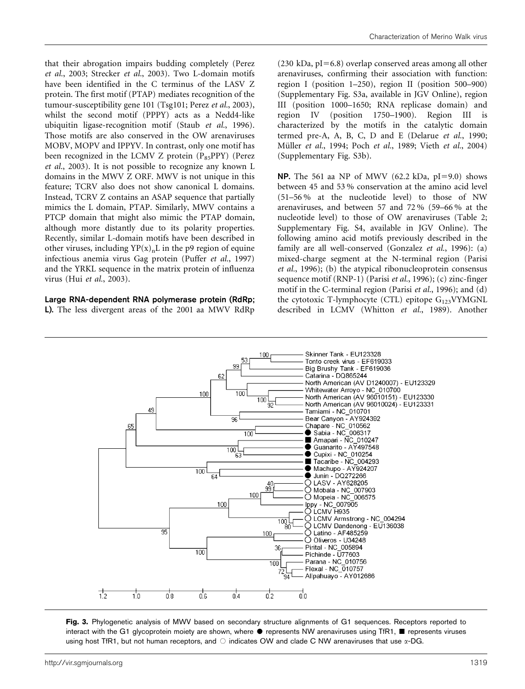that their abrogation impairs budding completely (Perez et al., 2003; Strecker et al., 2003). Two L-domain motifs have been identified in the C terminus of the LASV Z protein. The first motif (PTAP) mediates recognition of the tumour-susceptibility gene 101 (Tsg101; Perez et al., 2003), whilst the second motif (PPPY) acts as a Nedd4-like ubiquitin ligase-recognition motif (Staub et al., 1996). Those motifs are also conserved in the OW arenaviruses MOBV, MOPV and IPPYV. In contrast, only one motif has been recognized in the LCMV Z protein  $(P_{85}PPY)$  (Perez et al., 2003). It is not possible to recognize any known L domains in the MWV Z ORF. MWV is not unique in this feature; TCRV also does not show canonical L domains. Instead, TCRV Z contains an ASAP sequence that partially mimics the L domain, PTAP. Similarly, MWV contains a PTCP domain that might also mimic the PTAP domain, although more distantly due to its polarity properties. Recently, similar L-domain motifs have been described in other viruses, including  $YP(x)_nL$  in the p9 region of equine infectious anemia virus Gag protein (Puffer et al., 1997) and the YRKL sequence in the matrix protein of influenza virus (Hui et al., 2003).

#### Large RNA-dependent RNA polymerase protein (RdRp; L). The less divergent areas of the 2001 aa MWV RdRp

 $(230 \text{ kDa}, \text{pI}=6.8)$  overlap conserved areas among all other arenaviruses, confirming their association with function: region I (position 1–250), region II (position 500–900) (Supplementary Fig. S3a, available in JGV Online), region III (position 1000–1650; RNA replicase domain) and region IV (position 1750–1900). Region III is characterized by the motifs in the catalytic domain termed pre-A, A, B, C, D and E (Delarue et al., 1990; Müller et al., 1994; Poch et al., 1989; Vieth et al., 2004) (Supplementary Fig. S3b).

**NP.** The 561 aa NP of MWV (62.2 kDa,  $pI=9.0$ ) shows between 45 and 53 % conservation at the amino acid level (51–56 % at the nucleotide level) to those of NW arenaviruses, and between 57 and 72 % (59–66 % at the nucleotide level) to those of OW arenaviruses (Table 2; Supplementary Fig. S4, available in JGV Online). The following amino acid motifs previously described in the family are all well-conserved (Gonzalez et al., 1996): (a) mixed-charge segment at the N-terminal region (Parisi et al., 1996); (b) the atypical ribonucleoprotein consensus sequence motif (RNP-1) (Parisi et al., 1996); (c) zinc-finger motif in the C-terminal region (Parisi et al., 1996); and (d) the cytotoxic T-lymphocyte (CTL) epitope  $G_{123}VYMGNL$ described in LCMV (Whitton et al., 1989). Another



Fig. 3. Phylogenetic analysis of MWV based on secondary structure alignments of G1 sequences. Receptors reported to interact with the G1 glycoprotein moiety are shown, where  $\bullet$  represents NW arenaviruses using TfR1, represents viruses using host TfR1, but not human receptors, and  $\circ$  indicates OW and clade C NW arenaviruses that use  $\alpha$ -DG.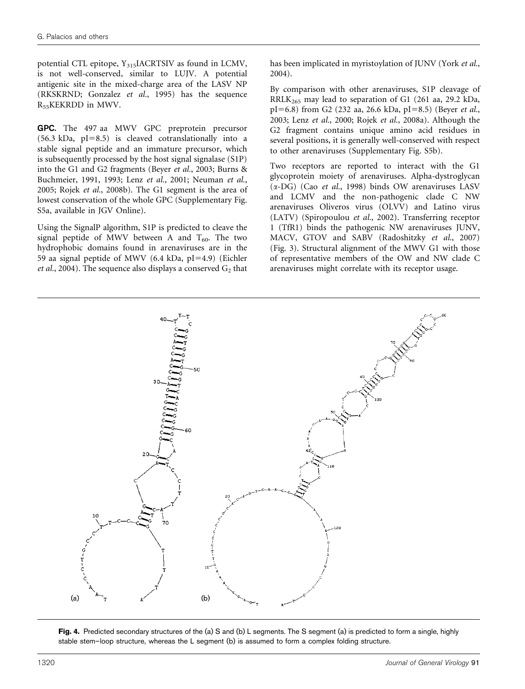potential CTL epitope,  $Y_{315}$ IACRTSIV as found in LCMV, is not well-conserved, similar to LUJV. A potential antigenic site in the mixed-charge area of the LASV NP (RKSKRND; Gonzalez et al., 1995) has the sequence R55KEKRDD in MWV.

GPC. The 497 aa MWV GPC preprotein precursor  $(56.3 \text{ kDa}, \text{pI}=8.5)$  is cleaved cotranslationally into a stable signal peptide and an immature precursor, which is subsequently processed by the host signal signalase (S1P) into the G1 and G2 fragments (Beyer et al., 2003; Burns & Buchmeier, 1991, 1993; Lenz et al., 2001; Neuman et al., 2005; Rojek et al., 2008b). The G1 segment is the area of lowest conservation of the whole GPC (Supplementary Fig. S5a, available in JGV Online).

Using the SignalP algorithm, S1P is predicted to cleave the signal peptide of MWV between A and  $T_{60}$ . The two hydrophobic domains found in arenaviruses are in the 59 aa signal peptide of MWV (6.4 kDa,  $pI=4.9$ ) (Eichler et al., 2004). The sequence also displays a conserved  $G_2$  that has been implicated in myristoylation of JUNV (York et al., 2004).

By comparison with other arenaviruses, S1P cleavage of RRLK265 may lead to separation of G1 (261 aa, 29.2 kDa,  $pI=6.8$ ) from G2 (232 aa, 26.6 kDa,  $pI=8.5$ ) (Beyer et al., 2003; Lenz et al., 2000; Rojek et al., 2008a). Although the G2 fragment contains unique amino acid residues in several positions, it is generally well-conserved with respect to other arenaviruses (Supplementary Fig. S5b).

Two receptors are reported to interact with the G1 glycoprotein moiety of arenaviruses. Alpha-dystroglycan  $(\alpha$ -DG) (Cao et al., 1998) binds OW arenaviruses LASV and LCMV and the non-pathogenic clade C NW arenaviruses Oliveros virus (OLVV) and Latino virus (LATV) (Spiropoulou et al., 2002). Transferring receptor 1 (TfR1) binds the pathogenic NW arenaviruses JUNV, MACV, GTOV and SABV (Radoshitzky et al., 2007) (Fig. 3). Structural alignment of the MWV G1 with those of representative members of the OW and NW clade C arenaviruses might correlate with its receptor usage.



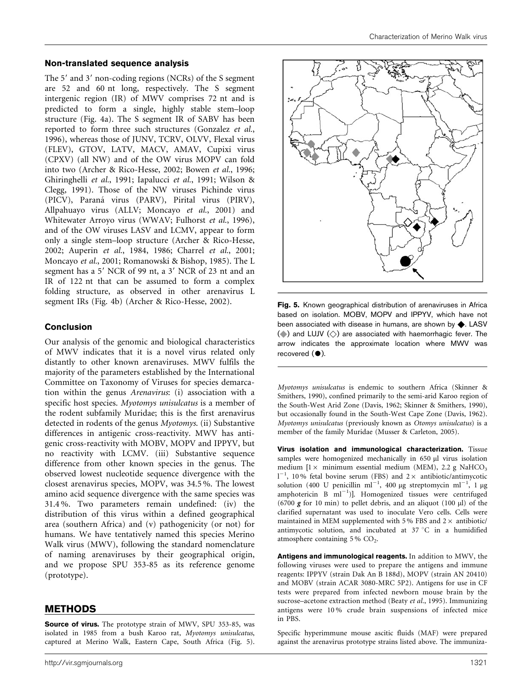#### Non-translated sequence analysis

The  $5'$  and  $3'$  non-coding regions (NCRs) of the S segment are 52 and 60 nt long, respectively. The S segment intergenic region (IR) of MWV comprises 72 nt and is predicted to form a single, highly stable stem–loop structure (Fig. 4a). The S segment IR of SABV has been reported to form three such structures (Gonzalez et al., 1996), whereas those of JUNV, TCRV, OLVV, Flexal virus (FLEV), GTOV, LATV, MACV, AMAV, Cupixi virus (CPXV) (all NW) and of the OW virus MOPV can fold into two (Archer & Rico-Hesse, 2002; Bowen et al., 1996; Ghiringhelli et al., 1991; Iapalucci et al., 1991; Wilson & Clegg, 1991). Those of the NW viruses Pichinde virus (PICV), Paraná virus (PARV), Pirital virus (PIRV), Allpahuayo virus (ALLV; Moncayo et al., 2001) and Whitewater Arroyo virus (WWAV; Fulhorst et al., 1996), and of the OW viruses LASV and LCMV, appear to form only a single stem–loop structure (Archer & Rico-Hesse, 2002; Auperin et al., 1984, 1986; Charrel et al., 2001; Moncayo et al., 2001; Romanowski & Bishop, 1985). The L segment has a 5' NCR of 99 nt, a 3' NCR of 23 nt and an IR of 122 nt that can be assumed to form a complex folding structure, as observed in other arenavirus L segment IRs (Fig. 4b) (Archer & Rico-Hesse, 2002).

# Conclusion

Our analysis of the genomic and biological characteristics of MWV indicates that it is a novel virus related only distantly to other known arenaviruses. MWV fulfils the majority of the parameters established by the International Committee on Taxonomy of Viruses for species demarcation within the genus Arenavirus: (i) association with a specific host species. Myotomys unisulcatus is a member of the rodent subfamily Muridae; this is the first arenavirus detected in rodents of the genus Myotomys. (ii) Substantive differences in antigenic cross-reactivity. MWV has antigenic cross-reactivity with MOBV, MOPV and IPPYV, but no reactivity with LCMV. (iii) Substantive sequence difference from other known species in the genus. The observed lowest nucleotide sequence divergence with the closest arenavirus species, MOPV, was 34.5 %. The lowest amino acid sequence divergence with the same species was 31.4 %. Two parameters remain undefined: (iv) the distribution of this virus within a defined geographical area (southern Africa) and (v) pathogenicity (or not) for humans. We have tentatively named this species Merino Walk virus (MWV), following the standard nomenclature of naming arenaviruses by their geographical origin, and we propose SPU 353-85 as its reference genome (prototype).

# METHODS

Source of virus. The prototype strain of MWV, SPU 353-85, was isolated in 1985 from a bush Karoo rat, Myotomys unisulcatus, captured at Merino Walk, Eastern Cape, South Africa (Fig. 5).



Fig. 5. Known geographical distribution of arenaviruses in Africa based on isolation. MOBV, MOPV and IPPYV, which have not been associated with disease in humans, are shown by  $\blacklozenge$ . LASV ( $\Diamond$ ) and LUJV  $\langle \Diamond \rangle$  are associated with haemorrhagic fever. The arrow indicates the approximate location where MWV was recovered  $(①)$ .

Myotomys unisulcatus is endemic to southern Africa (Skinner & Smithers, 1990), confined primarily to the semi-arid Karoo region of the South-West Arid Zone (Davis, 1962; Skinner & Smithers, 1990), but occasionally found in the South-West Cape Zone (Davis, 1962). Myotomys unisulcatus (previously known as Otomys unisulcatus) is a member of the family Muridae (Musser & Carleton, 2005).

Virus isolation and immunological characterization. Tissue samples were homogenized mechanically in 650 µl virus isolation medium  $[1 \times \text{minimum essential medium } (MEM), 2.2 \text{ g } NaHCO<sub>3</sub>)$  $1^{-1}$ , 10% fetal bovine serum (FBS) and 2 × antibiotic/antimycotic solution (400 U penicillin ml<sup>-1</sup>, 400 µg streptomycin ml<sup>-1</sup>, 1 µg amphotericin  $B$   $ml^{-1}$ )]. Homogenized tissues were centrifuged (6700  $g$  for 10 min) to pellet debris, and an aliquot (100  $\mu$ l) of the clarified supernatant was used to inoculate Vero cells. Cells were maintained in MEM supplemented with 5 % FBS and  $2 \times$  antibiotic/ antimycotic solution, and incubated at  $37 °C$  in a humidified atmosphere containing 5 % CO<sub>2</sub>.

Antigens and immunological reagents. In addition to MWV, the following viruses were used to prepare the antigens and immune reagents: IPPYV (strain Dak An B 188d), MOPV (strain AN 20410) and MOBV (strain ACAR 3080-MRC 5P2). Antigens for use in CF tests were prepared from infected newborn mouse brain by the sucrose–acetone extraction method (Beaty et al., 1995). Immunizing antigens were 10 % crude brain suspensions of infected mice in PBS.

Specific hyperimmune mouse ascitic fluids (MAF) were prepared against the arenavirus prototype strains listed above. The immuniza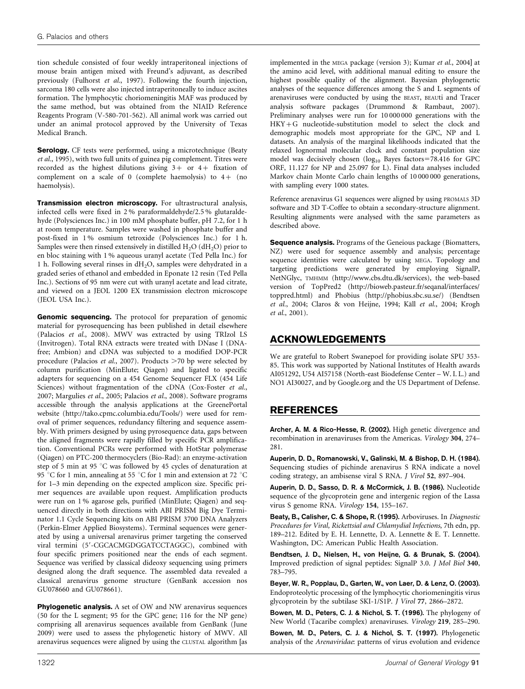tion schedule consisted of four weekly intraperitoneal injections of mouse brain antigen mixed with Freund's adjuvant, as described previously (Fulhorst et al., 1997). Following the fourth injection, sarcoma 180 cells were also injected intraperitoneally to induce ascites formation. The lymphocytic choriomeningitis MAF was produced by the same method, but was obtained from the NIAID Reference Reagents Program (V-580-701-562). All animal work was carried out under an animal protocol approved by the University of Texas Medical Branch.

Serology. CF tests were performed, using a microtechnique (Beaty et al., 1995), with two full units of guinea pig complement. Titres were recorded as the highest dilutions giving  $3+$  or  $4+$  fixation of complement on a scale of 0 (complete haemolysis) to  $4+$  (no haemolysis).

Transmission electron microscopy. For ultrastructural analysis, infected cells were fixed in 2 % paraformaldehyde/2.5 % glutaraldehyde (Polysciences Inc.) in 100 mM phosphate buffer, pH 7.2, for 1 h at room temperature. Samples were washed in phosphate buffer and post-fixed in 1 % osmium tetroxide (Polysciences Inc.) for 1 h. Samples were then rinsed extensively in distilled  $H_2O$  (d $H_2O$ ) prior to en bloc staining with 1 % aqueous uranyl acetate (Ted Pella Inc.) for 1 h. Following several rinses in  $dH_2O$ , samples were dehydrated in a graded series of ethanol and embedded in Eponate 12 resin (Ted Pella Inc.). Sections of 95 nm were cut with uranyl acetate and lead citrate, and viewed on a JEOL 1200 EX transmission electron microscope (JEOL USA Inc.).

Genomic sequencing. The protocol for preparation of genomic material for pyrosequencing has been published in detail elsewhere (Palacios et al., 2008). MWV was extracted by using TRIzol LS (Invitrogen). Total RNA extracts were treated with DNase I (DNAfree; Ambion) and cDNA was subjected to a modified DOP-PCR procedure (Palacios et al., 2007). Products  $>$  70 bp were selected by column purification (MinElute; Qiagen) and ligated to specific adapters for sequencing on a 454 Genome Sequencer FLX (454 Life Sciences) without fragmentation of the cDNA (Cox-Foster et al., 2007; Margulies et al., 2005; Palacios et al., 2008). Software programs accessible through the analysis applications at the GreenePortal website (http://tako.cpmc.columbia.edu/Tools/) were used for removal of primer sequences, redundancy filtering and sequence assembly. With primers designed by using pyrosequence data, gaps between the aligned fragments were rapidly filled by specific PCR amplification. Conventional PCRs were performed with HotStar polymerase (Qiagen) on PTC-200 thermocyclers (Bio-Rad): an enzyme-activation step of 5 min at 95 °C was followed by 45 cycles of denaturation at 95 °C for 1 min, annealing at 55 °C for 1 min and extension at 72 °C for 1–3 min depending on the expected amplicon size. Specific primer sequences are available upon request. Amplification products were run on 1 % agarose gels, purified (MinElute; Qiagen) and sequenced directly in both directions with ABI PRISM Big Dye Terminator 1.1 Cycle Sequencing kits on ABI PRISM 3700 DNA Analyzers (Perkin-Elmer Applied Biosystems). Terminal sequences were generated by using a universal arenavirus primer targeting the conserved viral termini (5'-CGCACMGDGGATCCTAGGC), combined with four specific primers positioned near the ends of each segment. Sequence was verified by classical dideoxy sequencing using primers designed along the draft sequence. The assembled data revealed a classical arenavirus genome structure (GenBank accession nos GU078660 and GU078661).

Phylogenetic analysis. A set of OW and NW arenavirus sequences (50 for the L segment; 95 for the GPC gene; 116 for the NP gene) comprising all arenavirus sequences available from GenBank (June 2009) were used to assess the phylogenetic history of MWV. All arenavirus sequences were aligned by using the CLUSTAL algorithm [as

implemented in the MEGA package (version 3); Kumar et al., 2004] at the amino acid level, with additional manual editing to ensure the highest possible quality of the alignment. Bayesian phylogenetic analyses of the sequence differences among the S and L segments of arenaviruses were conducted by using the BEAST, BEAUti and Tracer analysis software packages (Drummond & Rambaut, 2007). Preliminary analyses were run for 10 000 000 generations with the HKY+G nucleotide-substitution model to select the clock and demographic models most appropriate for the GPC, NP and L datasets. An analysis of the marginal likelihoods indicated that the relaxed lognormal molecular clock and constant population size model was decisively chosen ( $log_{10}$  Bayes factors=78.416 for GPC ORF, 11.127 for NP and 25.097 for L). Final data analyses included Markov chain Monte Carlo chain lengths of 10 000 000 generations, with sampling every 1000 states.

Reference arenavirus G1 sequences were aligned by using PROMALS 3D software and 3D T-Coffee to obtain a secondary-structure alignment. Resulting alignments were analysed with the same parameters as described above.

Sequence analysis. Programs of the Geneious package (Biomatters, NZ) were used for sequence assembly and analysis; percentage sequence identities were calculated by using MEGA. Topology and targeting predictions were generated by employing SignalP, NetNGlyc, TMHMM (http://www.cbs.dtu.dk/services), the web-based version of TopPred2 (http://bioweb.pasteur.fr/seqanal/interfaces/ toppred.html) and Phobius (http://phobius.sbc.su.se/) (Bendtsen et al., 2004; Claros & von Heijne, 1994; Käll et al., 2004; Krogh et al., 2001).

# ACKNOWLEDGEMENTS

We are grateful to Robert Swanepoel for providing isolate SPU 353- 85. This work was supported by National Institutes of Health awards AI051292, U54 AI57158 (North-east Biodefense Center – W. I. L.) and NO1 AI30027, and by Google.org and the US Department of Defense.

# REFERENCES

Archer, A. M. & Rico-Hesse, R. (2002). High genetic divergence and recombination in arenaviruses from the Americas. Virology 304, 274– 281.

Auperin, D. D., Romanowski, V., Galinski, M. & Bishop, D. H. (1984). Sequencing studies of pichinde arenavirus S RNA indicate a novel coding strategy, an ambisense viral S RNA. J Virol 52, 897–904.

Auperin, D. D., Sasso, D. R. & McCormick, J. B. (1986). Nucleotide sequence of the glycoprotein gene and intergenic region of the Lassa virus S genome RNA. Virology 154, 155–167.

Beaty, B., Calisher, C. & Shope, R. (1995). Arboviruses. In Diagnostic Procedures for Viral, Rickettsial and Chlamydial Infections, 7th edn, pp. 189–212. Edited by E. H. Lennette, D. A. Lennette & E. T. Lennette. Washington, DC: American Public Health Association.

Bendtsen, J. D., Nielsen, H., von Heijne, G. & Brunak, S. (2004). Improved prediction of signal peptides: SignalP 3.0. J Mol Biol 340, 783–795.

Beyer, W. R., Popplau, D., Garten, W., von Laer, D. & Lenz, O. (2003). Endoproteolytic processing of the lymphocytic choriomeningitis virus glycoprotein by the subtilase SKI-1/S1P. J Virol 77, 2866–2872.

Bowen, M. D., Peters, C. J. & Nichol, S. T. (1996). The phylogeny of New World (Tacaribe complex) arenaviruses. Virology 219, 285–290.

Bowen, M. D., Peters, C. J. & Nichol, S. T. (1997). Phylogenetic analysis of the Arenaviridae: patterns of virus evolution and evidence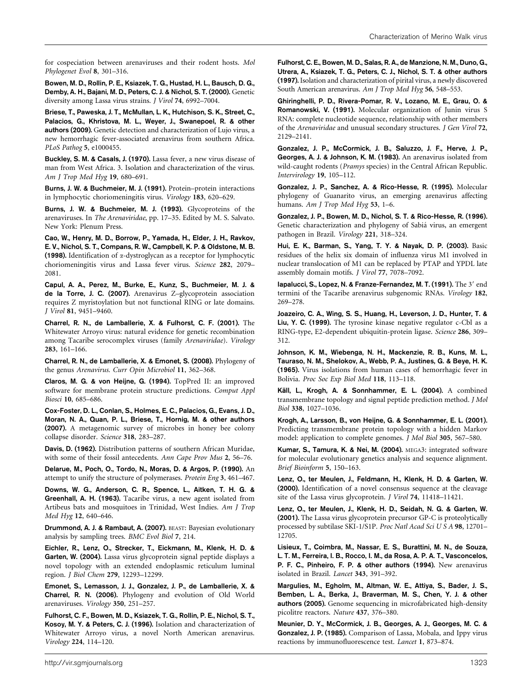for cospeciation between arenaviruses and their rodent hosts. Mol Phylogenet Evol 8, 301–316.

Bowen, M. D., Rollin, P. E., Ksiazek, T. G., Hustad, H. L., Bausch, D. G., Demby, A. H., Bajani, M. D., Peters, C. J. & Nichol, S. T. (2000). Genetic diversity among Lassa virus strains. J Virol 74, 6992–7004.

Briese, T., Paweska, J. T., McMullan, L. K., Hutchison, S. K., Street, C., Palacios, G., Khristova, M. L., Weyer, J., Swanepoel, R. & other authors (2009). Genetic detection and characterization of Lujo virus, a new hemorrhagic fever-associated arenavirus from southern Africa. PLoS Pathog 5, e1000455.

Buckley, S. M. & Casals, J. (1970). Lassa fever, a new virus disease of man from West Africa. 3. Isolation and characterization of the virus. Am J Trop Med Hyg 19, 680–691.

Burns, J. W. & Buchmeier, M. J. (1991). Protein–protein interactions in lymphocytic choriomeningitis virus. Virology 183, 620–629.

Burns, J. W. & Buchmeier, M. J. (1993). Glycoproteins of the arenaviruses. In The Arenaviridae, pp. 17–35. Edited by M. S. Salvato. New York: Plenum Press.

Cao, W., Henry, M. D., Borrow, P., Yamada, H., Elder, J. H., Ravkov, E. V., Nichol, S. T., Compans, R. W., Campbell, K. P. & Oldstone, M. B. (1998). Identification of a-dystroglycan as a receptor for lymphocytic choriomeningitis virus and Lassa fever virus. Science 282, 2079– 2081.

Capul, A. A., Perez, M., Burke, E., Kunz, S., Buchmeier, M. J. & de la Torre, J. C. (2007). Arenavirus Z–glycoprotein association requires Z myristoylation but not functional RING or late domains. J Virol 81, 9451–9460.

Charrel, R. N., de Lamballerie, X. & Fulhorst, C. F. (2001). The Whitewater Arroyo virus: natural evidence for genetic recombination among Tacaribe serocomplex viruses (family Arenaviridae). Virology 283, 161–166.

Charrel, R. N., de Lamballerie, X. & Emonet, S. (2008). Phylogeny of the genus Arenavirus. Curr Opin Microbiol 11, 362–368.

Claros, M. G. & von Heijne, G. (1994). TopPred II: an improved software for membrane protein structure predictions. Comput Appl Biosci 10, 685–686.

Cox-Foster, D. L., Conlan, S., Holmes, E. C., Palacios, G., Evans, J. D., Moran, N. A., Quan, P. L., Briese, T., Hornig, M. & other authors (2007). A metagenomic survey of microbes in honey bee colony collapse disorder. Science 318, 283–287.

Davis, D. (1962). Distribution patterns of southern African Muridae, with some of their fossil antecedents. Ann Cape Prov Mus 2, 56–76.

Delarue, M., Poch, O., Tordo, N., Moras, D. & Argos, P. (1990). An attempt to unify the structure of polymerases. Protein Eng 3, 461–467.

Downs, W. G., Anderson, C. R., Spence, L., Aitken, T. H. G. & Greenhall, A. H. (1963). Tacaribe virus, a new agent isolated from Artibeus bats and mosquitoes in Trinidad, West Indies. Am J Trop Med Hyg 12, 640–646.

Drummond, A. J. & Rambaut, A. (2007). BEAST: Bayesian evolutionary analysis by sampling trees. BMC Evol Biol 7, 214.

Eichler, R., Lenz, O., Strecker, T., Eickmann, M., Klenk, H. D. & Garten, W. (2004). Lassa virus glycoprotein signal peptide displays a novel topology with an extended endoplasmic reticulum luminal region. J Biol Chem 279, 12293–12299.

Emonet, S., Lemasson, J. J., Gonzalez, J. P., de Lamballerie, X. & Charrel, R. N. (2006). Phylogeny and evolution of Old World arenaviruses. Virology 350, 251–257.

Fulhorst, C. F., Bowen, M. D., Ksiazek, T. G., Rollin, P. E., Nichol, S. T., Kosoy, M. Y. & Peters, C. J. (1996). Isolation and characterization of Whitewater Arroyo virus, a novel North American arenavirus. Virology 224, 114–120.

Fulhorst, C. E., Bowen, M. D., Salas, R. A., de Manzione, N. M., Duno, G., Utrera, A., Ksiazek, T. G., Peters, C. J., Nichol, S. T. & other authors (1997). Isolation and characterization of pirital virus, a newly discovered South American arenavirus. Am J Trop Med Hyg 56, 548–553.

Ghiringhelli, P. D., Rivera-Pomar, R. V., Lozano, M. E., Grau, O. & Romanowski, V. (1991). Molecular organization of Junin virus S RNA: complete nucleotide sequence, relationship with other members of the Arenaviridae and unusual secondary structures. J Gen Virol 72, 2129–2141.

Gonzalez, J. P., McCormick, J. B., Saluzzo, J. F., Herve, J. P., Georges, A. J. & Johnson, K. M. (1983). An arenavirus isolated from wild-caught rodents (Pramys species) in the Central African Republic. Intervirology 19, 105–112.

Gonzalez, J. P., Sanchez, A. & Rico-Hesse, R. (1995). Molecular phylogeny of Guanarito virus, an emerging arenavirus affecting humans. Am J Trop Med Hyg 53, 1-6.

Gonzalez, J. P., Bowen, M. D., Nichol, S. T. & Rico-Hesse, R. (1996). Genetic characterization and phylogeny of Sabia´ virus, an emergent pathogen in Brazil. Virology 221, 318–324.

Hui, E. K., Barman, S., Yang, T. Y. & Nayak, D. P. (2003). Basic residues of the helix six domain of influenza virus M1 involved in nuclear translocation of M1 can be replaced by PTAP and YPDL late assembly domain motifs. J Virol 77, 7078–7092.

lapalucci, S., Lopez, N. & Franze-Fernandez, M. T. (1991). The 3' end termini of the Tacaribe arenavirus subgenomic RNAs. Virology 182, 269–278.

Joazeiro, C. A., Wing, S. S., Huang, H., Leverson, J. D., Hunter, T. & Liu, Y. C. (1999). The tyrosine kinase negative regulator c-Cbl as a RING-type, E2-dependent ubiquitin-protein ligase. Science 286, 309– 312.

Johnson, K. M., Wiebenga, N. H., Mackenzie, R. B., Kuns, M. L., Tauraso, N. M., Shelokov, A., Webb, P. A., Justines, G. & Beye, H. K. (1965). Virus isolations from human cases of hemorrhagic fever in Bolivia. Proc Soc Exp Biol Med 118, 113–118.

Käll, L., Krogh, A. & Sonnhammer, E. L. (2004). A combined transmembrane topology and signal peptide prediction method. J Mol Biol 338, 1027–1036.

Krogh, A., Larsson, B., von Heijne, G. & Sonnhammer, E. L. (2001). Predicting transmembrane protein topology with a hidden Markov model: application to complete genomes. J Mol Biol 305, 567–580.

Kumar, S., Tamura, K. & Nei, M. (2004). MEGA3: integrated software for molecular evolutionary genetics analysis and sequence alignment. Brief Bioinform 5, 150–163.

Lenz, O., ter Meulen, J., Feldmann, H., Klenk, H. D. & Garten, W. (2000). Identification of a novel consensus sequence at the cleavage site of the Lassa virus glycoprotein. J Virol 74, 11418–11421.

Lenz, O., ter Meulen, J., Klenk, H. D., Seidah, N. G. & Garten, W. (2001). The Lassa virus glycoprotein precursor GP-C is proteolytically processed by subtilase SKI-1/S1P. Proc Natl Acad Sci U S A 98, 12701– 12705.

Lisieux, T., Coimbra, M., Nassar, E. S., Burattini, M. N., de Souza, L. T. M., Ferreira, I. B., Rocco, I. M., da Rosa, A. P. A. T., Vasconcelos, P. F. C., Pinheiro, F. P. & other authors (1994). New arenavirus isolated in Brazil. Lancet 343, 391–392.

Margulies, M., Egholm, M., Altman, W. E., Attiya, S., Bader, J. S., Bemben, L. A., Berka, J., Braverman, M. S., Chen, Y. J. & other authors (2005). Genome sequencing in microfabricated high-density picolitre reactors. Nature 437, 376–380.

Meunier, D. Y., McCormick, J. B., Georges, A. J., Georges, M. C. & Gonzalez, J. P. (1985). Comparison of Lassa, Mobala, and Ippy virus reactions by immunofluorescence test. Lancet 1, 873–874.